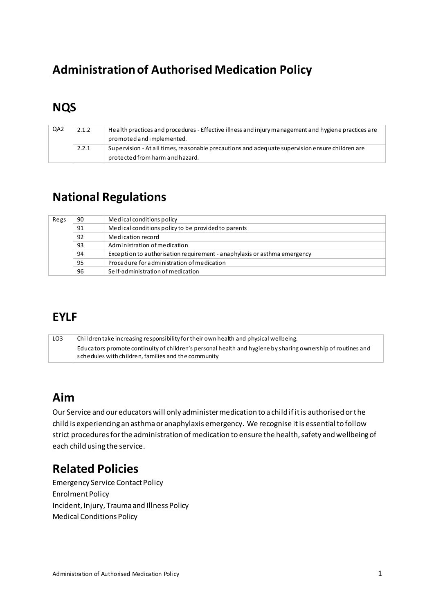# **Administration of Authorised Medication Policy**

## **NQS**

| QA2 | 2.1.2 | Health practices and procedures - Effective illness and injury management and hygiene practices are |
|-----|-------|-----------------------------------------------------------------------------------------------------|
|     |       | promoted and implemented.                                                                           |
|     | 2.2.1 | Supervision - At all times, reasonable precautions and adequate supervision ensure children are     |
|     |       | protected from harm and hazard.                                                                     |

### **National Regulations**

| Regs | 90 | Medical conditions policy                                                |
|------|----|--------------------------------------------------------------------------|
|      | 91 | Medical conditions policy to be provided to parents                      |
|      | 92 | Medication record                                                        |
|      | 93 | Administration of medication                                             |
|      | 94 | Exception to authorisation requirement - anaphylaxis or asthma emergency |
|      | 95 | Procedure for administration of medication                               |
|      | 96 | Self-administration of medication                                        |

### **EYLF**

| LO3 | Children take increasing responsibility for their own health and physical wellbeing.                        |  |  |
|-----|-------------------------------------------------------------------------------------------------------------|--|--|
|     | Educators promote continuity of children's personal health and hygiene by sharing ownership of routines and |  |  |
|     | s chedules with children, families and the community                                                        |  |  |

### Aim

Our Service and our educators will only administer medication to a child if it is authorised or the child is experiencing an asthma or anaphylaxis emergency. We recognise it is essential to follow strict procedures for the administration of medication to ensure the health, safety and wellbeing of each child using the service.

### **Related Policies**

**Emergency Service Contact Policy Enrolment Policy** Incident, Injury, Trauma and Illness Policy **Medical Conditions Policy**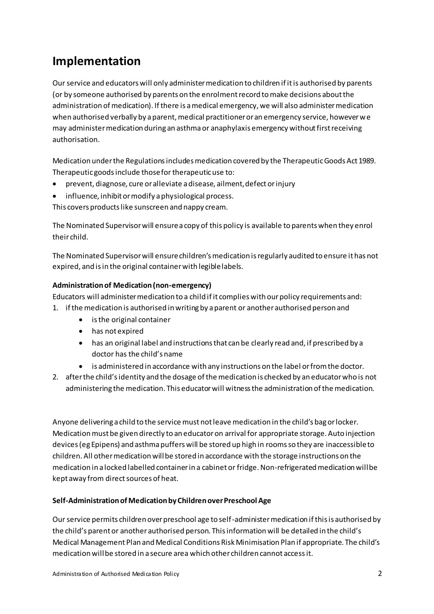## **Implementation**

Our service and educators will only administer medication to children if it is authorised by parents (or by someone authorised by parents on the enrolment record to make decisions about the administration of medication). If there is a medical emergency, we will also administer medication when authorised verbally by a parent, medical practitioner or an emergency service, however we may administer medication during an asthma or anaphylaxis emergency without first receiving authorisation.

Medication under the Regulations includes medication covered by the Therapeutic Goods Act 1989. Therapeutic goods include those fo[r therapeutic use](http://www.austlii.edu.au/au/legis/cth/consol_act/tga1989191/s3.html#therapeutic_use?stem=0&synonyms=0&query=definition) to:

- prevent, diagnose, cure or alleviate a disease, ailment, defect or injury
- influence, inhibit or modify a physiological process.

This covers products like sunscreen and nappy cream.

The Nominated Supervisor will ensure a copy of this policy is available to parents when they enrol their child.

The Nominated Supervisor will ensure children's medication is regularly audited to ensure it has not expired, and is in the original container with legible labels.

#### **Administration of Medication (non-emergency)**

Educators will administer medication to a child if it complies with our policy requirements and:

- 1. if the medication is authorised in writing by a parent or another authorised person and
	- is the original container
	- has not expired
	- has an original label and instructions that can be clearly read and, if prescribed by a doctor has the child's name
	- is administered in accordance with any instructions on the label or from the doctor.
- 2. after the child's identity and the dosage of the medication is checked by an educator who is not administering the medication. This educator will witness the administration of the medication.

Anyone delivering a child to the service must not leave medication in the child's bag or locker. Medication must be given directly to an educator on arrival for appropriate storage. Auto injection devices (eg Epipens) and asthma puffers will be stored up high in rooms so they are inaccessible to children. All other medication will be stored in accordance with the storage instructions on the medication in a locked labelled container in a cabinet or fridge. Non-refrigerated medication will be kept away from direct sources of heat.

#### **Self-Administration of Medication by Children over Preschool Age**

Our service permits children over preschool age to self-administer medication if this is authorised by the child's parent or another authorised person. This information will be detailed in the child's Medical Management Plan and Medical Conditions Risk Minimisation Plan if appropriate. The child's medication will be stored in a secure area which other children cannot access it.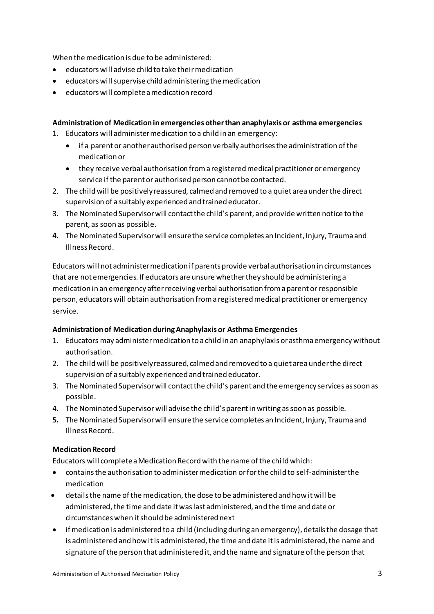When the medication is due to be administered:

- educators will advise child to take their medication
- educators will supervise child administering the medication
- educators will complete a medication record

#### **Administration of Medication in emergencies other than anaphylaxis or asthma emergencies**

- 1. Educators will administer medication to a child in an emergency:
	- if a parent or another authorised person verbally authorises the administration of the medication or
	- they receive verbal authorisation from a registered medical practitioner or emergency service if the parent or authorised person cannot be contacted.
- 2. The child will be positively reassured, calmed and removed to a quiet area under the direct supervision of a suitably experienced and trained educator.
- 3. The Nominated Supervisor will contact the child's parent, and provide written notice to the parent, as soon as possible.
- **4.** The Nominated Supervisor will ensure the service completes an Incident, Injury, Trauma and Illness Record.

Educators will not administer medication if parents provide verbal authorisation in circumstances that are not emergencies. If educators are unsure whether they should be administering a medication in an emergency after receiving verbal authorisation from a parent or responsible person, educators will obtain authorisation from a registered medical practitioner or emergency service.

#### **Administration of Medication during Anaphylaxis or Asthma Emergencies**

- 1. Educators may administer medication to a child in an anaphylaxis or asthma emergency without authorisation.
- 2. The child will be positively reassured, calmed and removed to a quiet area under the direct supervision of a suitably experienced and trained educator.
- 3. The Nominated Supervisor will contact the child's parent and the emergency services as soon as possible.
- 4. The Nominated Supervisor will advise the child's parent in writing as soon as possible.
- **5.** The Nominated Supervisor will ensure the service completes an Incident, Injury, Trauma and Illness Record.

#### **Medication Record**

Educators will complete a Medication Record with the name of the child which:

- contains the authorisation to administer medication or for the child to self-administer the medication
- details the name of the medication, the dose to be administered and how it will be administered, the time and date it was last administered, and the time and date or circumstances when it should be administered next
- if medication is administered to a child (including during an emergency), details the dosage that is administered and how it is administered, the time and date it is administered, the name and signature of the person that administered it, and the name and signature of the person that